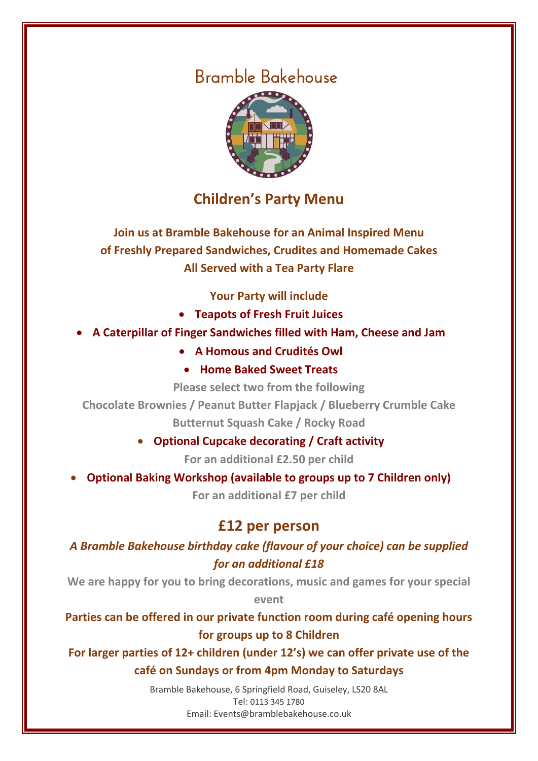

### **Children's Party Menu**

**Join us at Bramble Bakehouse for an Animal Inspired Menu of Freshly Prepared Sandwiches, Crudites and Homemade Cakes All Served with a Tea Party Flare**

**Your Party will include**

- **Teapots of Fresh Fruit Juices**
- **A Caterpillar of Finger Sandwiches filled with Ham, Cheese and Jam**
	- **A Homous and Crudités Owl**
	- **Home Baked Sweet Treats**

**Please select two from the following**

**Chocolate Brownies / Peanut Butter Flapjack / Blueberry Crumble Cake Butternut Squash Cake / Rocky Road**

**Optional Cupcake decorating / Craft activity** 

**For an additional £2.50 per child**

**Optional Baking Workshop (available to groups up to 7 Children only)**

**For an additional £7 per child**

### **£12 per person**

#### *A Bramble Bakehouse birthday cake (flavour of your choice) can be supplied for an additional £18*

**We are happy for you to bring decorations, music and games for your special** 

**event**

**Parties can be offered in our private function room during café opening hours for groups up to 8 Children**

**For larger parties of 12+ children (under 12's) we can offer private use of the café on Sundays or from 4pm Monday to Saturdays**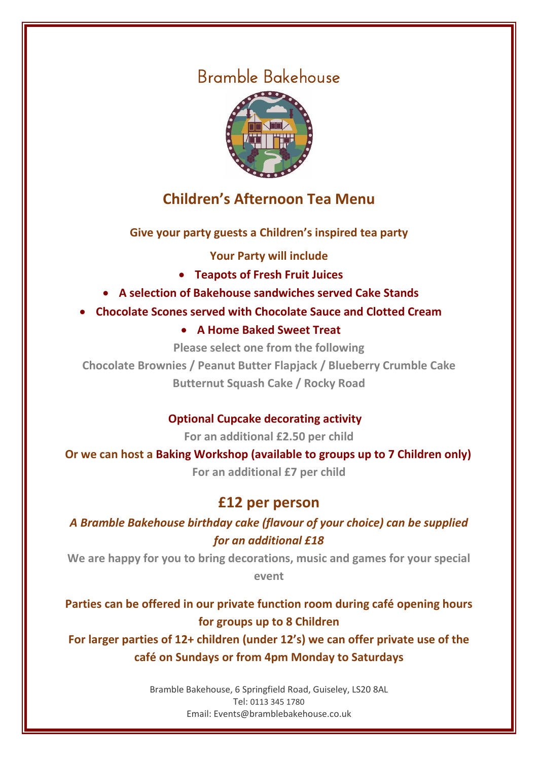

### **Children's Afternoon Tea Menu**

**Give your party guests a Children's inspired tea party**

**Your Party will include**

- **Teapots of Fresh Fruit Juices**
- **A selection of Bakehouse sandwiches served Cake Stands**
- **Chocolate Scones served with Chocolate Sauce and Clotted Cream**
	- **A Home Baked Sweet Treat**

**Please select one from the following**

**Chocolate Brownies / Peanut Butter Flapjack / Blueberry Crumble Cake Butternut Squash Cake / Rocky Road**

### **Optional Cupcake decorating activity**

**For an additional £2.50 per child**

**Or we can host a Baking Workshop (available to groups up to 7 Children only)**

**For an additional £7 per child**

### **£12 per person**

*A Bramble Bakehouse birthday cake (flavour of your choice) can be supplied for an additional £18*

**We are happy for you to bring decorations, music and games for your special event**

**Parties can be offered in our private function room during café opening hours for groups up to 8 Children**

**For larger parties of 12+ children (under 12's) we can offer private use of the café on Sundays or from 4pm Monday to Saturdays**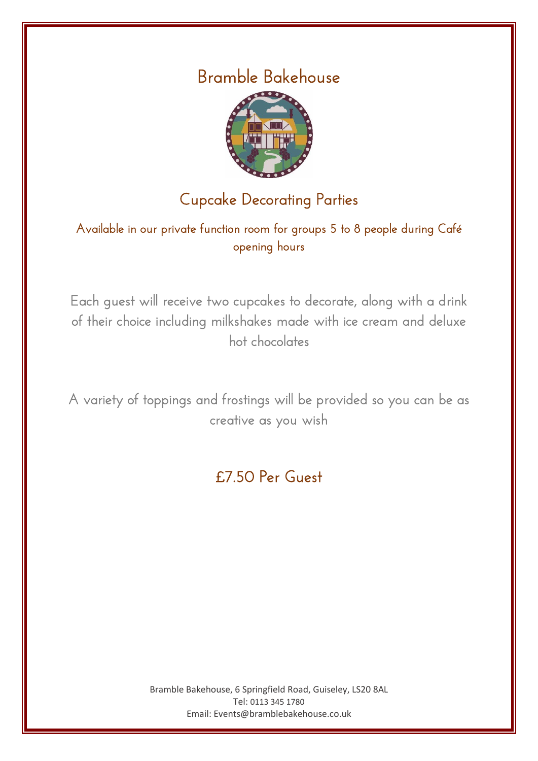

# Cupcake Decorating Parties

Available in our private function room for groups 5 to 8 people during Café opening hours

Each guest will receive two cupcakes to decorate, along with a drink of their choice including milkshakes made with ice cream and deluxe hot chocolates

A variety of toppings and frostings will be provided so you can be as creative as you wish

# £7.50 Per Guest